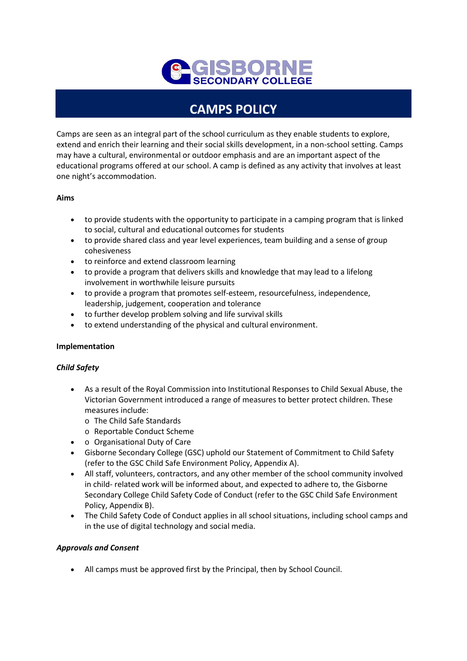

# **CAMPS POLICY**

Camps are seen as an integral part of the school curriculum as they enable students to explore, extend and enrich their learning and their social skills development, in a non-school setting. Camps may have a cultural, environmental or outdoor emphasis and are an important aspect of the educational programs offered at our school. A camp is defined as any activity that involves at least one night's accommodation.

## **Aims**

- to provide students with the opportunity to participate in a camping program that is linked to social, cultural and educational outcomes for students
- to provide shared class and year level experiences, team building and a sense of group cohesiveness
- to reinforce and extend classroom learning
- to provide a program that delivers skills and knowledge that may lead to a lifelong involvement in worthwhile leisure pursuits
- to provide a program that promotes self-esteem, resourcefulness, independence, leadership, judgement, cooperation and tolerance
- to further develop problem solving and life survival skills
- to extend understanding of the physical and cultural environment.

### **Implementation**

### *Child Safety*

- As a result of the Royal Commission into Institutional Responses to Child Sexual Abuse, the Victorian Government introduced a range of measures to better protect children. These measures include:
	- o The Child Safe Standards
	- o Reportable Conduct Scheme
- o Organisational Duty of Care
- Gisborne Secondary College (GSC) uphold our Statement of Commitment to Child Safety (refer to the GSC Child Safe Environment Policy, Appendix A).
- All staff, volunteers, contractors, and any other member of the school community involved in child- related work will be informed about, and expected to adhere to, the Gisborne Secondary College Child Safety Code of Conduct (refer to the GSC Child Safe Environment Policy, Appendix B).
- The Child Safety Code of Conduct applies in all school situations, including school camps and in the use of digital technology and social media.

### *Approvals and Consent*

• All camps must be approved first by the Principal, then by School Council.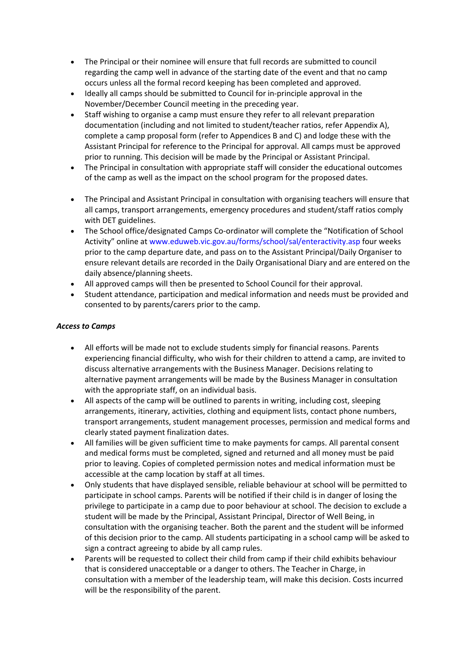- The Principal or their nominee will ensure that full records are submitted to council regarding the camp well in advance of the starting date of the event and that no camp occurs unless all the formal record keeping has been completed and approved.
- Ideally all camps should be submitted to Council for in-principle approval in the November/December Council meeting in the preceding year.
- Staff wishing to organise a camp must ensure they refer to all relevant preparation documentation (including and not limited to student/teacher ratios, refer Appendix A), complete a camp proposal form (refer to Appendices B and C) and lodge these with the Assistant Principal for reference to the Principal for approval. All camps must be approved prior to running. This decision will be made by the Principal or Assistant Principal.
- The Principal in consultation with appropriate staff will consider the educational outcomes of the camp as well as the impact on the school program for the proposed dates.
- The Principal and Assistant Principal in consultation with organising teachers will ensure that all camps, transport arrangements, emergency procedures and student/staff ratios comply with DET guidelines.
- The School office/designated Camps Co-ordinator will complete the "Notification of School Activity" online at www.eduweb.vic.gov.au/forms/school/sal/enteractivity.asp four weeks prior to the camp departure date, and pass on to the Assistant Principal/Daily Organiser to ensure relevant details are recorded in the Daily Organisational Diary and are entered on the daily absence/planning sheets.
- All approved camps will then be presented to School Council for their approval.
- Student attendance, participation and medical information and needs must be provided and consented to by parents/carers prior to the camp.

## *Access to Camps*

- All efforts will be made not to exclude students simply for financial reasons. Parents experiencing financial difficulty, who wish for their children to attend a camp, are invited to discuss alternative arrangements with the Business Manager. Decisions relating to alternative payment arrangements will be made by the Business Manager in consultation with the appropriate staff, on an individual basis.
- All aspects of the camp will be outlined to parents in writing, including cost, sleeping arrangements, itinerary, activities, clothing and equipment lists, contact phone numbers, transport arrangements, student management processes, permission and medical forms and clearly stated payment finalization dates.
- All families will be given sufficient time to make payments for camps. All parental consent and medical forms must be completed, signed and returned and all money must be paid prior to leaving. Copies of completed permission notes and medical information must be accessible at the camp location by staff at all times.
- Only students that have displayed sensible, reliable behaviour at school will be permitted to participate in school camps. Parents will be notified if their child is in danger of losing the privilege to participate in a camp due to poor behaviour at school. The decision to exclude a student will be made by the Principal, Assistant Principal, Director of Well Being, in consultation with the organising teacher. Both the parent and the student will be informed of this decision prior to the camp. All students participating in a school camp will be asked to sign a contract agreeing to abide by all camp rules.
- Parents will be requested to collect their child from camp if their child exhibits behaviour that is considered unacceptable or a danger to others. The Teacher in Charge, in consultation with a member of the leadership team, will make this decision. Costs incurred will be the responsibility of the parent.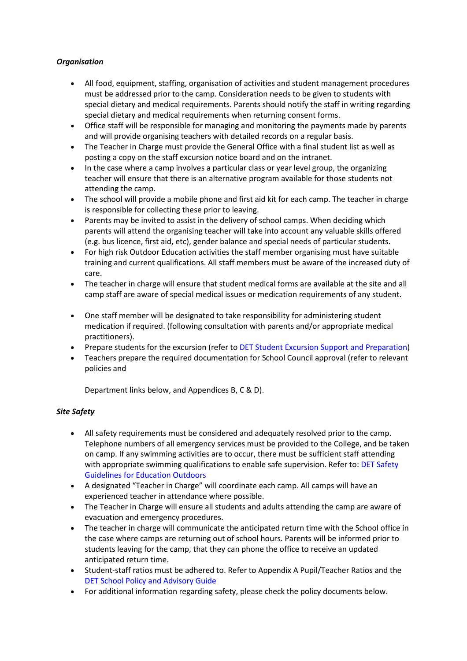# *Organisation*

- All food, equipment, staffing, organisation of activities and student management procedures must be addressed prior to the camp. Consideration needs to be given to students with special dietary and medical requirements. Parents should notify the staff in writing regarding special dietary and medical requirements when returning consent forms.
- Office staff will be responsible for managing and monitoring the payments made by parents and will provide organising teachers with detailed records on a regular basis.
- The Teacher in Charge must provide the General Office with a final student list as well as posting a copy on the staff excursion notice board and on the intranet.
- In the case where a camp involves a particular class or year level group, the organizing teacher will ensure that there is an alternative program available for those students not attending the camp.
- The school will provide a mobile phone and first aid kit for each camp. The teacher in charge is responsible for collecting these prior to leaving.
- Parents may be invited to assist in the delivery of school camps. When deciding which parents will attend the organising teacher will take into account any valuable skills offered (e.g. bus licence, first aid, etc), gender balance and special needs of particular students.
- For high risk Outdoor Education activities the staff member organising must have suitable training and current qualifications. All staff members must be aware of the increased duty of care.
- The teacher in charge will ensure that student medical forms are available at the site and all camp staff are aware of special medical issues or medication requirements of any student.
- One staff member will be designated to take responsibility for administering student medication if required. (following consultation with parents and/or appropriate medical practitioners).
- Prepare students for the excursion (refer to DET Student Excursion Support and Preparation)
- Teachers prepare the required documentation for School Council approval (refer to relevant policies and

Department links below, and Appendices B, C & D).

# *Site Safety*

- All safety requirements must be considered and adequately resolved prior to the camp. Telephone numbers of all emergency services must be provided to the College, and be taken on camp. If any swimming activities are to occur, there must be sufficient staff attending with appropriate swimming qualifications to enable safe supervision. Refer to: DET Safety Guidelines for Education Outdoors
- A designated "Teacher in Charge" will coordinate each camp. All camps will have an experienced teacher in attendance where possible.
- The Teacher in Charge will ensure all students and adults attending the camp are aware of evacuation and emergency procedures.
- The teacher in charge will communicate the anticipated return time with the School office in the case where camps are returning out of school hours. Parents will be informed prior to students leaving for the camp, that they can phone the office to receive an updated anticipated return time.
- Student-staff ratios must be adhered to. Refer to Appendix A Pupil/Teacher Ratios and the DET School Policy and Advisory Guide
- For additional information regarding safety, please check the policy documents below.